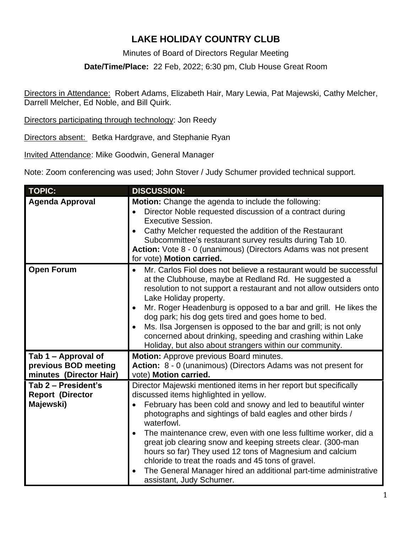### **LAKE HOLIDAY COUNTRY CLUB**

Minutes of Board of Directors Regular Meeting

**Date/Time/Place:** 22 Feb, 2022; 6:30 pm, Club House Great Room

Directors in Attendance: Robert Adams, Elizabeth Hair, Mary Lewia, Pat Majewski, Cathy Melcher, Darrell Melcher, Ed Noble, and Bill Quirk.

Directors participating through technology: Jon Reedy

Directors absent: Betka Hardgrave, and Stephanie Ryan

Invited Attendance: Mike Goodwin, General Manager

Note: Zoom conferencing was used; John Stover / Judy Schumer provided technical support.

| <b>TOPIC:</b>                                                          | <b>DISCUSSION:</b>                                                                                                                                                                                                                                                                                                                                                                                                                                                                                                                                                                                         |
|------------------------------------------------------------------------|------------------------------------------------------------------------------------------------------------------------------------------------------------------------------------------------------------------------------------------------------------------------------------------------------------------------------------------------------------------------------------------------------------------------------------------------------------------------------------------------------------------------------------------------------------------------------------------------------------|
| <b>Agenda Approval</b>                                                 | <b>Motion:</b> Change the agenda to include the following:<br>Director Noble requested discussion of a contract during<br><b>Executive Session.</b><br>Cathy Melcher requested the addition of the Restaurant<br>Subcommittee's restaurant survey results during Tab 10.<br>Action: Vote 8 - 0 (unanimous) (Directors Adams was not present<br>for vote) Motion carried.                                                                                                                                                                                                                                   |
| <b>Open Forum</b>                                                      | Mr. Carlos Fiol does not believe a restaurant would be successful<br>at the Clubhouse, maybe at Redland Rd. He suggested a<br>resolution to not support a restaurant and not allow outsiders onto<br>Lake Holiday property.<br>Mr. Roger Headenburg is opposed to a bar and grill. He likes the<br>dog park; his dog gets tired and goes home to bed.<br>Ms. Ilsa Jorgensen is opposed to the bar and grill; is not only<br>concerned about drinking, speeding and crashing within Lake<br>Holiday, but also about strangers within our community.                                                         |
| Tab 1 - Approval of<br>previous BOD meeting<br>minutes (Director Hair) | Motion: Approve previous Board minutes.<br>Action: 8 - 0 (unanimous) (Directors Adams was not present for<br>vote) Motion carried.                                                                                                                                                                                                                                                                                                                                                                                                                                                                         |
| Tab 2 - President's<br><b>Report (Director</b><br>Majewski)            | Director Majewski mentioned items in her report but specifically<br>discussed items highlighted in yellow.<br>February has been cold and snowy and led to beautiful winter<br>photographs and sightings of bald eagles and other birds /<br>waterfowl.<br>The maintenance crew, even with one less fulltime worker, did a<br>great job clearing snow and keeping streets clear. (300-man<br>hours so far) They used 12 tons of Magnesium and calcium<br>chloride to treat the roads and 45 tons of gravel.<br>The General Manager hired an additional part-time administrative<br>assistant, Judy Schumer. |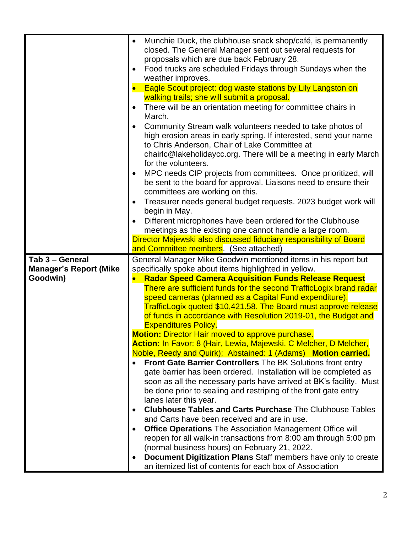|                               | Munchie Duck, the clubhouse snack shop/café, is permanently<br>$\bullet$<br>closed. The General Manager sent out several requests for<br>proposals which are due back February 28. |
|-------------------------------|------------------------------------------------------------------------------------------------------------------------------------------------------------------------------------|
|                               | Food trucks are scheduled Fridays through Sundays when the<br>weather improves.                                                                                                    |
|                               |                                                                                                                                                                                    |
|                               | Eagle Scout project: dog waste stations by Lily Langston on<br>walking trails; she will submit a proposal.                                                                         |
|                               | There will be an orientation meeting for committee chairs in                                                                                                                       |
|                               | March.                                                                                                                                                                             |
|                               | Community Stream walk volunteers needed to take photos of                                                                                                                          |
|                               | high erosion areas in early spring. If interested, send your name                                                                                                                  |
|                               | to Chris Anderson, Chair of Lake Committee at                                                                                                                                      |
|                               | chairlc@lakeholidaycc.org. There will be a meeting in early March                                                                                                                  |
|                               | for the volunteers.                                                                                                                                                                |
|                               | MPC needs CIP projects from committees. Once prioritized, will                                                                                                                     |
|                               | be sent to the board for approval. Liaisons need to ensure their                                                                                                                   |
|                               | committees are working on this.                                                                                                                                                    |
|                               | Treasurer needs general budget requests. 2023 budget work will                                                                                                                     |
|                               | begin in May.                                                                                                                                                                      |
|                               | Different microphones have been ordered for the Clubhouse                                                                                                                          |
|                               | meetings as the existing one cannot handle a large room.                                                                                                                           |
|                               | Director Majewski also discussed fiduciary responsibility of Board                                                                                                                 |
|                               | and Committee members. (See attached)                                                                                                                                              |
| Tab 3 - General               | General Manager Mike Goodwin mentioned items in his report but                                                                                                                     |
| <b>Manager's Report (Mike</b> | specifically spoke about items highlighted in yellow.                                                                                                                              |
| Goodwin)                      | <b>Radar Speed Camera Acquisition Funds Release Request</b>                                                                                                                        |
|                               | There are sufficient funds for the second TrafficLogix brand radar                                                                                                                 |
|                               | speed cameras (planned as a Capital Fund expenditure).                                                                                                                             |
|                               | TrafficLogix quoted \$10,421.58. The Board must approve release                                                                                                                    |
|                               |                                                                                                                                                                                    |
|                               |                                                                                                                                                                                    |
|                               | of funds in accordance with Resolution 2019-01, the Budget and                                                                                                                     |
|                               | <b>Expenditures Policy.</b>                                                                                                                                                        |
|                               | Motion: Director Hair moved to approve purchase.                                                                                                                                   |
|                               | Action: In Favor: 8 (Hair, Lewia, Majewski, C Melcher, D Melcher,                                                                                                                  |
|                               | Noble, Reedy and Quirk); Abstained: 1 (Adams) Motion carried.                                                                                                                      |
|                               | Front Gate Barrier Controllers The BK Solutions front entry                                                                                                                        |
|                               | gate barrier has been ordered. Installation will be completed as                                                                                                                   |
|                               | soon as all the necessary parts have arrived at BK's facility. Must                                                                                                                |
|                               | be done prior to sealing and restriping of the front gate entry                                                                                                                    |
|                               | lanes later this year.                                                                                                                                                             |
|                               | <b>Clubhouse Tables and Carts Purchase The Clubhouse Tables</b>                                                                                                                    |
|                               | and Carts have been received and are in use.                                                                                                                                       |
|                               | <b>Office Operations</b> The Association Management Office will                                                                                                                    |
|                               | reopen for all walk-in transactions from 8:00 am through 5:00 pm                                                                                                                   |
|                               | (normal business hours) on February 21, 2022.                                                                                                                                      |
|                               | Document Digitization Plans Staff members have only to create<br>٠                                                                                                                 |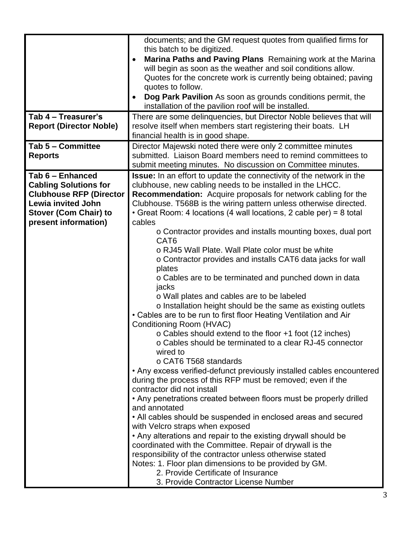|                                | documents; and the GM request quotes from qualified firms for               |
|--------------------------------|-----------------------------------------------------------------------------|
|                                | this batch to be digitized.                                                 |
|                                | Marina Paths and Paving Plans Remaining work at the Marina                  |
|                                | will begin as soon as the weather and soil conditions allow.                |
|                                | Quotes for the concrete work is currently being obtained; paving            |
|                                | quotes to follow.                                                           |
|                                | Dog Park Pavilion As soon as grounds conditions permit, the                 |
|                                | installation of the pavilion roof will be installed.                        |
| Tab 4 - Treasurer's            | There are some delinquencies, but Director Noble believes that will         |
| <b>Report (Director Noble)</b> | resolve itself when members start registering their boats. LH               |
|                                | financial health is in good shape.                                          |
| Tab 5 - Committee              | Director Majewski noted there were only 2 committee minutes                 |
| <b>Reports</b>                 | submitted. Liaison Board members need to remind committees to               |
|                                | submit meeting minutes. No discussion on Committee minutes.                 |
| Tab 6 - Enhanced               | <b>Issue:</b> In an effort to update the connectivity of the network in the |
| <b>Cabling Solutions for</b>   | clubhouse, new cabling needs to be installed in the LHCC.                   |
| <b>Clubhouse RFP (Director</b> | <b>Recommendation:</b> Acquire proposals for network cabling for the        |
| <b>Lewia invited John</b>      | Clubhouse. T568B is the wiring pattern unless otherwise directed.           |
| <b>Stover (Com Chair) to</b>   | • Great Room: 4 locations (4 wall locations, 2 cable per) = 8 total         |
| present information)           | cables                                                                      |
|                                | o Contractor provides and installs mounting boxes, dual port                |
|                                | CAT <sub>6</sub>                                                            |
|                                | o RJ45 Wall Plate. Wall Plate color must be white                           |
|                                | o Contractor provides and installs CAT6 data jacks for wall                 |
|                                | plates                                                                      |
|                                | o Cables are to be terminated and punched down in data                      |
|                                | jacks                                                                       |
|                                | o Wall plates and cables are to be labeled                                  |
|                                | o Installation height should be the same as existing outlets                |
|                                | • Cables are to be run to first floor Heating Ventilation and Air           |
|                                | Conditioning Room (HVAC)                                                    |
|                                | o Cables should extend to the floor +1 foot (12 inches)                     |
|                                | o Cables should be terminated to a clear RJ-45 connector                    |
|                                | wired to                                                                    |
|                                | o CAT6 T568 standards                                                       |
|                                | • Any excess verified-defunct previously installed cables encountered       |
|                                | during the process of this RFP must be removed; even if the                 |
|                                | contractor did not install                                                  |
|                                | • Any penetrations created between floors must be properly drilled          |
|                                | and annotated                                                               |
|                                | • All cables should be suspended in enclosed areas and secured              |
|                                | with Velcro straps when exposed                                             |
|                                | • Any alterations and repair to the existing drywall should be              |
|                                | coordinated with the Committee. Repair of drywall is the                    |
|                                | responsibility of the contractor unless otherwise stated                    |
|                                | Notes: 1. Floor plan dimensions to be provided by GM.                       |
|                                | 2. Provide Certificate of Insurance                                         |
|                                | 3. Provide Contractor License Number                                        |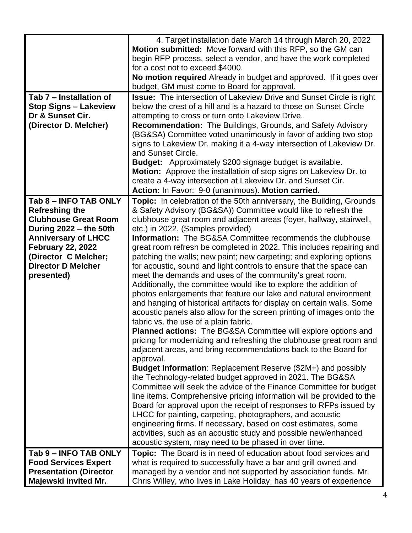|                                                                                                                                                                                                                                      | 4. Target installation date March 14 through March 20, 2022<br>Motion submitted: Move forward with this RFP, so the GM can<br>begin RFP process, select a vendor, and have the work completed<br>for a cost not to exceed \$4000.<br>No motion required Already in budget and approved. If it goes over<br>budget, GM must come to Board for approval.                                                                                                                                                                                                                                                                                                                                                                                                                                                                                                                                                                                                                                                                                                                                                                                                                                                                                                                                                                                                                                                                                                                                                                                                                                                                                                                                                                                                                                                  |
|--------------------------------------------------------------------------------------------------------------------------------------------------------------------------------------------------------------------------------------|---------------------------------------------------------------------------------------------------------------------------------------------------------------------------------------------------------------------------------------------------------------------------------------------------------------------------------------------------------------------------------------------------------------------------------------------------------------------------------------------------------------------------------------------------------------------------------------------------------------------------------------------------------------------------------------------------------------------------------------------------------------------------------------------------------------------------------------------------------------------------------------------------------------------------------------------------------------------------------------------------------------------------------------------------------------------------------------------------------------------------------------------------------------------------------------------------------------------------------------------------------------------------------------------------------------------------------------------------------------------------------------------------------------------------------------------------------------------------------------------------------------------------------------------------------------------------------------------------------------------------------------------------------------------------------------------------------------------------------------------------------------------------------------------------------|
| Tab 7 – Installation of<br><b>Stop Signs - Lakeview</b><br>Dr & Sunset Cir.<br>(Director D. Melcher)                                                                                                                                 | <b>Issue:</b> The intersection of Lakeview Drive and Sunset Circle is right<br>below the crest of a hill and is a hazard to those on Sunset Circle<br>attempting to cross or turn onto Lakeview Drive.<br><b>Recommendation:</b> The Buildings, Grounds, and Safety Advisory<br>(BG&SA) Committee voted unanimously in favor of adding two stop<br>signs to Lakeview Dr. making it a 4-way intersection of Lakeview Dr.<br>and Sunset Circle.<br><b>Budget:</b> Approximately \$200 signage budget is available.<br>Motion: Approve the installation of stop signs on Lakeview Dr. to<br>create a 4-way intersection at Lakeview Dr. and Sunset Cir.<br>Action: In Favor: 9-0 (unanimous). Motion carried.                                                                                                                                                                                                                                                                                                                                                                                                                                                                                                                                                                                                                                                                                                                                                                                                                                                                                                                                                                                                                                                                                              |
| Tab 8 - INFO TAB ONLY<br><b>Refreshing the</b><br><b>Clubhouse Great Room</b><br>During 2022 - the 50th<br><b>Anniversary of LHCC</b><br><b>February 22, 2022</b><br>(Director C Melcher;<br><b>Director D Melcher</b><br>presented) | <b>Topic:</b> In celebration of the 50th anniversary, the Building, Grounds<br>& Safety Advisory (BG&SA)) Committee would like to refresh the<br>clubhouse great room and adjacent areas (foyer, hallway, stairwell,<br>etc.) in 2022. (Samples provided)<br><b>Information:</b> The BG&SA Committee recommends the clubhouse<br>great room refresh be completed in 2022. This includes repairing and<br>patching the walls; new paint; new carpeting; and exploring options<br>for acoustic, sound and light controls to ensure that the space can<br>meet the demands and uses of the community's great room.<br>Additionally, the committee would like to explore the addition of<br>photos enlargements that feature our lake and natural environment<br>and hanging of historical artifacts for display on certain walls. Some<br>acoustic panels also allow for the screen printing of images onto the<br>fabric vs. the use of a plain fabric.<br><b>Planned actions:</b> The BG&SA Committee will explore options and<br>pricing for modernizing and refreshing the clubhouse great room and<br>adjacent areas, and bring recommendations back to the Board for<br>approval.<br><b>Budget Information: Replacement Reserve (\$2M+) and possibly</b><br>the Technology-related budget approved in 2021. The BG&SA<br>Committee will seek the advice of the Finance Committee for budget<br>line items. Comprehensive pricing information will be provided to the<br>Board for approval upon the receipt of responses to RFPs issued by<br>LHCC for painting, carpeting, photographers, and acoustic<br>engineering firms. If necessary, based on cost estimates, some<br>activities, such as an acoustic study and possible new/enhanced<br>acoustic system, may need to be phased in over time. |
| Tab 9 - INFO TAB ONLY<br><b>Food Services Expert</b><br><b>Presentation (Director</b><br>Majewski invited Mr.                                                                                                                        | Topic: The Board is in need of education about food services and<br>what is required to successfully have a bar and grill owned and<br>managed by a vendor and not supported by association funds. Mr.<br>Chris Willey, who lives in Lake Holiday, has 40 years of experience                                                                                                                                                                                                                                                                                                                                                                                                                                                                                                                                                                                                                                                                                                                                                                                                                                                                                                                                                                                                                                                                                                                                                                                                                                                                                                                                                                                                                                                                                                                           |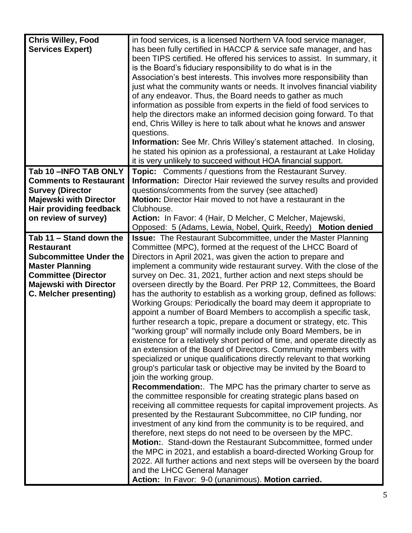| <b>Chris Willey, Food</b>     | in food services, is a licensed Northern VA food service manager,          |
|-------------------------------|----------------------------------------------------------------------------|
| <b>Services Expert)</b>       | has been fully certified in HACCP & service safe manager, and has          |
|                               | been TIPS certified. He offered his services to assist. In summary, it     |
|                               | is the Board's fiduciary responsibility to do what is in the               |
|                               | Association's best interests. This involves more responsibility than       |
|                               |                                                                            |
|                               | just what the community wants or needs. It involves financial viability    |
|                               | of any endeavor. Thus, the Board needs to gather as much                   |
|                               | information as possible from experts in the field of food services to      |
|                               | help the directors make an informed decision going forward. To that        |
|                               | end, Chris Willey is here to talk about what he knows and answer           |
|                               | questions.                                                                 |
|                               | <b>Information:</b> See Mr. Chris Willey's statement attached. In closing, |
|                               | he stated his opinion as a professional, a restaurant at Lake Holiday      |
|                               | it is very unlikely to succeed without HOA financial support.              |
| Tab 10-INFO TAB ONLY          | <b>Topic:</b> Comments / questions from the Restaurant Survey.             |
| <b>Comments to Restaurant</b> | Information: Director Hair reviewed the survey results and provided        |
| <b>Survey (Director</b>       | questions/comments from the survey (see attached)                          |
| <b>Majewski with Director</b> | Motion: Director Hair moved to not have a restaurant in the                |
| Hair providing feedback       | Clubhouse.                                                                 |
| on review of survey)          | Action: In Favor: 4 (Hair, D Melcher, C Melcher, Majewski,                 |
|                               | Opposed: 5 (Adams, Lewia, Nobel, Quirk, Reedy)<br><b>Motion denied</b>     |
| Tab 11 - Stand down the       | <b>Issue:</b> The Restaurant Subcommittee, under the Master Planning       |
| <b>Restaurant</b>             | Committee (MPC), formed at the request of the LHCC Board of                |
| <b>Subcommittee Under the</b> | Directors in April 2021, was given the action to prepare and               |
| <b>Master Planning</b>        | implement a community wide restaurant survey. With the close of the        |
| <b>Committee (Director</b>    | survey on Dec. 31, 2021, further action and next steps should be           |
| <b>Majewski with Director</b> | overseen directly by the Board. Per PRP 12, Committees, the Board          |
| <b>C. Melcher presenting)</b> | has the authority to establish as a working group, defined as follows:     |
|                               | Working Groups: Periodically the board may deem it appropriate to          |
|                               | appoint a number of Board Members to accomplish a specific task,           |
|                               | further research a topic, prepare a document or strategy, etc. This        |
|                               | "working group" will normally include only Board Members, be in            |
|                               | existence for a relatively short period of time, and operate directly as   |
|                               | an extension of the Board of Directors. Community members with             |
|                               | specialized or unique qualifications directly relevant to that working     |
|                               | group's particular task or objective may be invited by the Board to        |
|                               | join the working group.                                                    |
|                               | <b>Recommendation:.</b> The MPC has the primary charter to serve as        |
|                               | the committee responsible for creating strategic plans based on            |
|                               | receiving all committee requests for capital improvement projects. As      |
|                               | presented by the Restaurant Subcommittee, no CIP funding, nor              |
|                               | investment of any kind from the community is to be required, and           |
|                               | therefore, next steps do not need to be overseen by the MPC.               |
|                               | <b>Motion:.</b> Stand-down the Restaurant Subcommittee, formed under       |
|                               | the MPC in 2021, and establish a board-directed Working Group for          |
|                               | 2022. All further actions and next steps will be overseen by the board     |
|                               | and the LHCC General Manager                                               |
|                               | Action: In Favor: 9-0 (unanimous). Motion carried.                         |
|                               |                                                                            |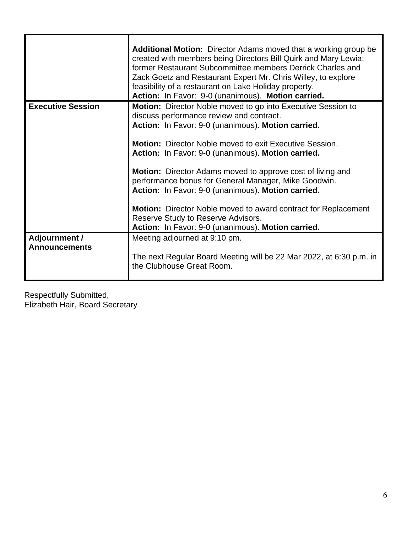|                          | Additional Motion: Director Adams moved that a working group be<br>created with members being Directors Bill Quirk and Mary Lewia;<br>former Restaurant Subcommittee members Derrick Charles and<br>Zack Goetz and Restaurant Expert Mr. Chris Willey, to explore<br>feasibility of a restaurant on Lake Holiday property.<br>Action: In Favor: 9-0 (unanimous). Motion carried. |
|--------------------------|----------------------------------------------------------------------------------------------------------------------------------------------------------------------------------------------------------------------------------------------------------------------------------------------------------------------------------------------------------------------------------|
| <b>Executive Session</b> | <b>Motion:</b> Director Noble moved to go into Executive Session to                                                                                                                                                                                                                                                                                                              |
|                          | discuss performance review and contract.                                                                                                                                                                                                                                                                                                                                         |
|                          | Action: In Favor: 9-0 (unanimous). Motion carried.                                                                                                                                                                                                                                                                                                                               |
|                          | <b>Motion:</b> Director Noble moved to exit Executive Session.<br>Action: In Favor: 9-0 (unanimous). Motion carried.                                                                                                                                                                                                                                                             |
|                          | <b>Motion:</b> Director Adams moved to approve cost of living and                                                                                                                                                                                                                                                                                                                |
|                          | performance bonus for General Manager, Mike Goodwin.                                                                                                                                                                                                                                                                                                                             |
|                          | Action: In Favor: 9-0 (unanimous). Motion carried.                                                                                                                                                                                                                                                                                                                               |
|                          | <b>Motion:</b> Director Noble moved to award contract for Replacement<br>Reserve Study to Reserve Advisors.                                                                                                                                                                                                                                                                      |
|                          | Action: In Favor: 9-0 (unanimous). Motion carried.                                                                                                                                                                                                                                                                                                                               |
| <b>Adjournment /</b>     | Meeting adjourned at 9:10 pm.                                                                                                                                                                                                                                                                                                                                                    |
| <b>Announcements</b>     |                                                                                                                                                                                                                                                                                                                                                                                  |
|                          | The next Regular Board Meeting will be 22 Mar 2022, at 6:30 p.m. in<br>the Clubhouse Great Room.                                                                                                                                                                                                                                                                                 |

Respectfully Submitted, Elizabeth Hair, Board Secretary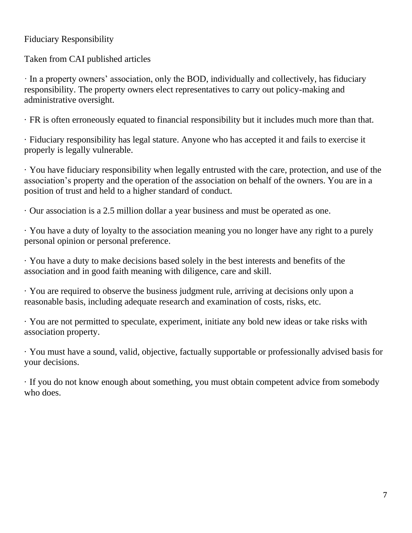#### Fiduciary Responsibility

Taken from CAI published articles

· In a property owners' association, only the BOD, individually and collectively, has fiduciary responsibility. The property owners elect representatives to carry out policy-making and administrative oversight.

· FR is often erroneously equated to financial responsibility but it includes much more than that.

· Fiduciary responsibility has legal stature. Anyone who has accepted it and fails to exercise it properly is legally vulnerable.

· You have fiduciary responsibility when legally entrusted with the care, protection, and use of the association's property and the operation of the association on behalf of the owners. You are in a position of trust and held to a higher standard of conduct.

· Our association is a 2.5 million dollar a year business and must be operated as one.

· You have a duty of loyalty to the association meaning you no longer have any right to a purely personal opinion or personal preference.

· You have a duty to make decisions based solely in the best interests and benefits of the association and in good faith meaning with diligence, care and skill.

· You are required to observe the business judgment rule, arriving at decisions only upon a reasonable basis, including adequate research and examination of costs, risks, etc.

· You are not permitted to speculate, experiment, initiate any bold new ideas or take risks with association property.

· You must have a sound, valid, objective, factually supportable or professionally advised basis for your decisions.

· If you do not know enough about something, you must obtain competent advice from somebody who does.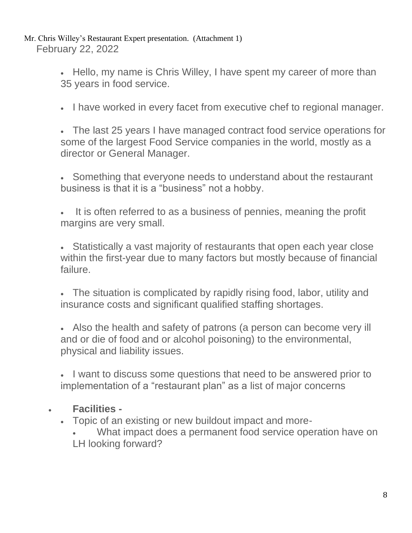Mr. Chris Willey's Restaurant Expert presentation. (Attachment 1) February 22, 2022

> • Hello, my name is Chris Willey, I have spent my career of more than 35 years in food service.

• I have worked in every facet from executive chef to regional manager.

• The last 25 years I have managed contract food service operations for some of the largest Food Service companies in the world, mostly as a director or General Manager.

• Something that everyone needs to understand about the restaurant business is that it is a "business" not a hobby.

It is often referred to as a business of pennies, meaning the profit margins are very small.

• Statistically a vast majority of restaurants that open each year close within the first-year due to many factors but mostly because of financial failure.

• The situation is complicated by rapidly rising food, labor, utility and insurance costs and significant qualified staffing shortages.

• Also the health and safety of patrons (a person can become very ill and or die of food and or alcohol poisoning) to the environmental, physical and liability issues.

• I want to discuss some questions that need to be answered prior to implementation of a "restaurant plan" as a list of major concerns

## • **Facilities -**

• Topic of an existing or new buildout impact and more-

• What impact does a permanent food service operation have on LH looking forward?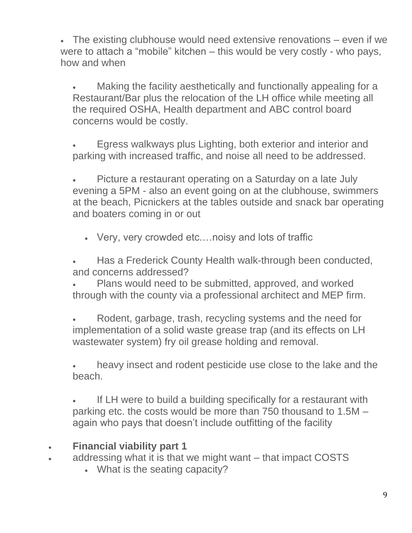• The existing clubhouse would need extensive renovations – even if we were to attach a "mobile" kitchen – this would be very costly - who pays, how and when

• Making the facility aesthetically and functionally appealing for a Restaurant/Bar plus the relocation of the LH office while meeting all the required OSHA, Health department and ABC control board concerns would be costly.

• Egress walkways plus Lighting, both exterior and interior and parking with increased traffic, and noise all need to be addressed.

• Picture a restaurant operating on a Saturday on a late July evening a 5PM - also an event going on at the clubhouse, swimmers at the beach, Picnickers at the tables outside and snack bar operating and boaters coming in or out

• Very, very crowded etc.…noisy and lots of traffic

• Has a Frederick County Health walk-through been conducted, and concerns addressed?

Plans would need to be submitted, approved, and worked through with the county via a professional architect and MEP firm.

• Rodent, garbage, trash, recycling systems and the need for implementation of a solid waste grease trap (and its effects on LH wastewater system) fry oil grease holding and removal.

heavy insect and rodent pesticide use close to the lake and the beach.

If LH were to build a building specifically for a restaurant with parking etc. the costs would be more than 750 thousand to 1.5M – again who pays that doesn't include outfitting of the facility

### • **Financial viability part 1**

- addressing what it is that we might want that impact COSTS
	- What is the seating capacity?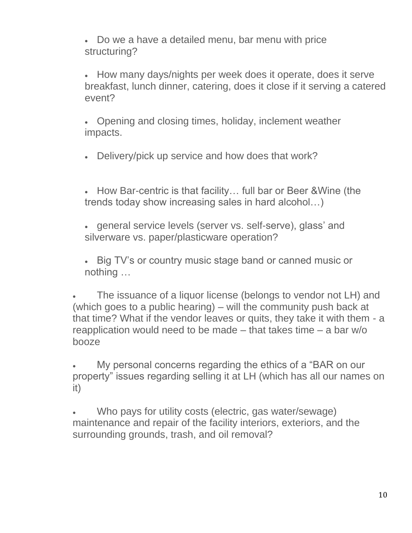• Do we a have a detailed menu, bar menu with price structuring?

• How many days/nights per week does it operate, does it serve breakfast, lunch dinner, catering, does it close if it serving a catered event?

• Opening and closing times, holiday, inclement weather impacts.

• Delivery/pick up service and how does that work?

• How Bar-centric is that facility… full bar or Beer &Wine (the trends today show increasing sales in hard alcohol…)

- general service levels (server vs. self-serve), glass' and silverware vs. paper/plasticware operation?
- Big TV's or country music stage band or canned music or nothing …

The issuance of a liquor license (belongs to vendor not LH) and (which goes to a public hearing) – will the community push back at that time? What if the vendor leaves or quits, they take it with them - a reapplication would need to be made – that takes time – a bar w/o booze

• My personal concerns regarding the ethics of a "BAR on our property" issues regarding selling it at LH (which has all our names on it)

Who pays for utility costs (electric, gas water/sewage) maintenance and repair of the facility interiors, exteriors, and the surrounding grounds, trash, and oil removal?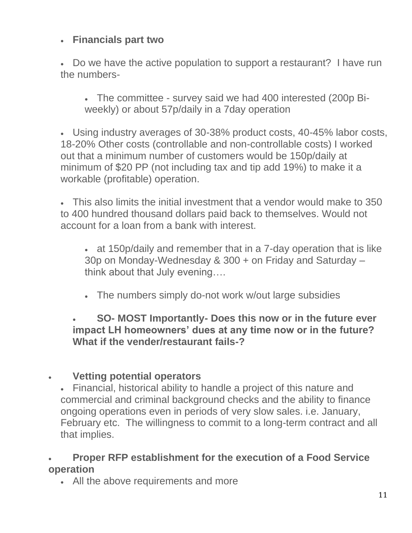## • **Financials part two**

• Do we have the active population to support a restaurant? I have run the numbers-

• The committee - survey said we had 400 interested (200p Biweekly) or about 57p/daily in a 7day operation

• Using industry averages of 30-38% product costs, 40-45% labor costs, 18-20% Other costs (controllable and non-controllable costs) I worked out that a minimum number of customers would be 150p/daily at minimum of \$20 PP (not including tax and tip add 19%) to make it a workable (profitable) operation.

• This also limits the initial investment that a vendor would make to 350 to 400 hundred thousand dollars paid back to themselves. Would not account for a loan from a bank with interest.

• at 150p/daily and remember that in a 7-day operation that is like 30p on Monday-Wednesday & 300 + on Friday and Saturday – think about that July evening….

• The numbers simply do-not work w/out large subsidies

• **SO- MOST Importantly- Does this now or in the future ever impact LH homeowners' dues at any time now or in the future? What if the vender/restaurant fails-?**

## • **Vetting potential operators**

• Financial, historical ability to handle a project of this nature and commercial and criminal background checks and the ability to finance ongoing operations even in periods of very slow sales. i.e. January, February etc. The willingness to commit to a long-term contract and all that implies.

## • **Proper RFP establishment for the execution of a Food Service operation**

• All the above requirements and more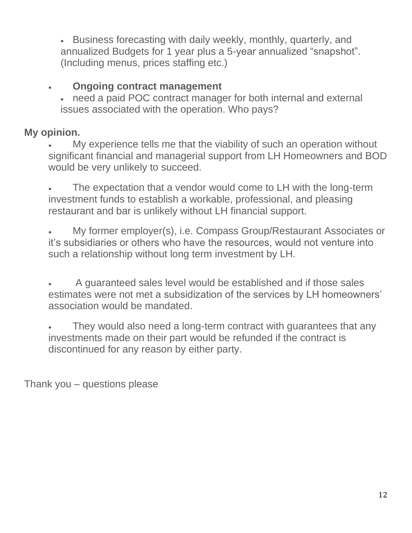• Business forecasting with daily weekly, monthly, quarterly, and annualized Budgets for 1 year plus a 5-year annualized "snapshot". (Including menus, prices staffing etc.)

## • **Ongoing contract management**

• need a paid POC contract manager for both internal and external issues associated with the operation. Who pays?

# **My opinion.**

• My experience tells me that the viability of such an operation without significant financial and managerial support from LH Homeowners and BOD would be very unlikely to succeed.

The expectation that a vendor would come to LH with the long-term investment funds to establish a workable, professional, and pleasing restaurant and bar is unlikely without LH financial support.

• My former employer(s), i.e. Compass Group/Restaurant Associates or it's subsidiaries or others who have the resources, would not venture into such a relationship without long term investment by LH.

• A guaranteed sales level would be established and if those sales estimates were not met a subsidization of the services by LH homeowners' association would be mandated.

They would also need a long-term contract with guarantees that any investments made on their part would be refunded if the contract is discontinued for any reason by either party.

Thank you – questions please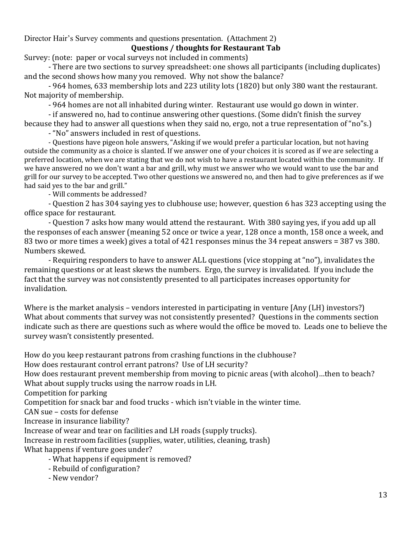#### Director Hair's Survey comments and questions presentation. (Attachment 2) **Questions / thoughts for Restaurant Tab**

Survey: (note: paper or vocal surveys not included in comments)

- There are two sections to survey spreadsheet: one shows all participants (including duplicates) and the second shows how many you removed. Why not show the balance?

- 964 homes, 633 membership lots and 223 utility lots (1820) but only 380 want the restaurant. Not majority of membership.

- 964 homes are not all inhabited during winter. Restaurant use would go down in winter.

- if answered no, had to continue answering other questions. (Some didn't finish the survey because they had to answer all questions when they said no, ergo, not a true representation of "no"s.)

- "No" answers included in rest of questions.

- Questions have pigeon hole answers, "Asking if we would prefer a particular location, but not having outside the community as a choice is slanted. If we answer one of your choices it is scored as if we are selecting a preferred location, when we are stating that we do not wish to have a restaurant located within the community. If we have answered no we don't want a bar and grill, why must we answer who we would want to use the bar and grill for our survey to be accepted. Two other questions we answered no, and then had to give preferences as if we had said yes to the bar and grill."

- Will comments be addressed?

- Question 2 has 304 saying yes to clubhouse use; however, question 6 has 323 accepting using the office space for restaurant.

- Question 7 asks how many would attend the restaurant. With 380 saying yes, if you add up all the responses of each answer (meaning 52 once or twice a year, 128 once a month, 158 once a week, and 83 two or more times a week) gives a total of 421 responses minus the 34 repeat answers = 387 vs 380. Numbers skewed.

- Requiring responders to have to answer ALL questions (vice stopping at "no"), invalidates the remaining questions or at least skews the numbers. Ergo, the survey is invalidated. If you include the fact that the survey was not consistently presented to all participates increases opportunity for invalidation.

Where is the market analysis – vendors interested in participating in venture [Any (LH) investors?) What about comments that survey was not consistently presented? Questions in the comments section indicate such as there are questions such as where would the office be moved to. Leads one to believe the survey wasn't consistently presented.

How do you keep restaurant patrons from crashing functions in the clubhouse?

How does restaurant control errant patrons? Use of LH security?

How does restaurant prevent membership from moving to picnic areas (with alcohol)…then to beach? What about supply trucks using the narrow roads in LH.

Competition for parking

Competition for snack bar and food trucks - which isn't viable in the winter time.

CAN sue – costs for defense

Increase in insurance liability?

Increase of wear and tear on facilities and LH roads (supply trucks).

Increase in restroom facilities (supplies, water, utilities, cleaning, trash)

What happens if venture goes under?

- What happens if equipment is removed?
- Rebuild of configuration?
- New vendor?